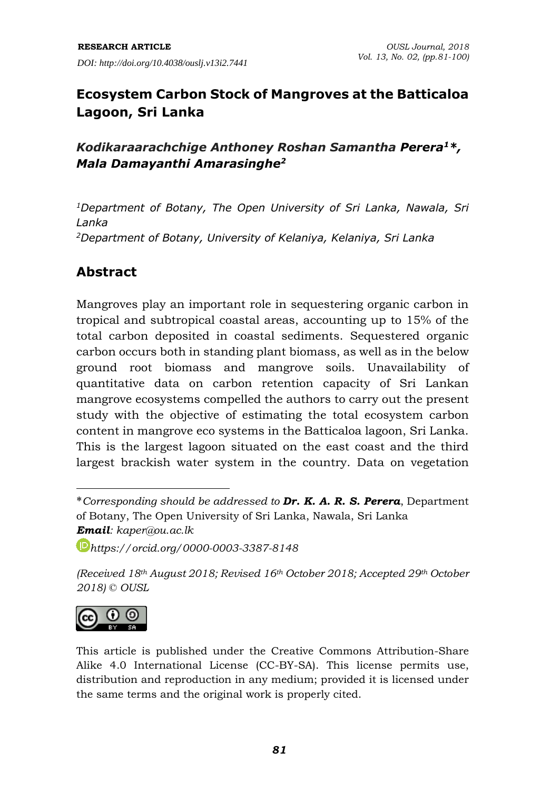# **Ecosystem Carbon Stock of Mangroves at the Batticaloa Lagoon, Sri Lanka**

## *Kodikaraarachchige Anthoney Roshan Samantha Perera<sup>1</sup>\*, Mala Damayanthi Amarasinghe<sup>2</sup>*

*<sup>1</sup>Department of Botany, The Open University of Sri Lanka, Nawala, Sri Lanka <sup>2</sup>Department of Botany, University of Kelaniya, Kelaniya, Sri Lanka*

## **Abstract**

Mangroves play an important role in sequestering organic carbon in tropical and subtropical coastal areas, accounting up to 15% of the total carbon deposited in coastal sediments. Sequestered organic carbon occurs both in standing plant biomass, as well as in the below ground root biomass and mangrove soils. Unavailability of quantitative data on carbon retention capacity of Sri Lankan mangrove ecosystems compelled the authors to carry out the present study with the objective of estimating the total ecosystem carbon content in mangrove eco systems in the Batticaloa lagoon, Sri Lanka. This is the largest lagoon situated on the east coast and the third largest brackish water system in the country. Data on vegetation

*[https://orcid.org/0](https://orcid.org/)000-0003-3387-8148*

*(Received 18th August 2018; Revised 16th October 2018; Accepted 29th October 2018) © OUSL*



**.** 

This article is published under the Creative Commons Attribution-Share Alike 4.0 International License (CC-BY-SA). This license permits use, distribution and reproduction in any medium; provided it is licensed under the same terms and the original work is properly cited.

<sup>\*</sup>*Corresponding should be addressed to Dr. K. A. R. S. Perera*, Department of Botany, The Open University of Sri Lanka, Nawala, Sri Lanka *Email: kaper@ou.ac.lk*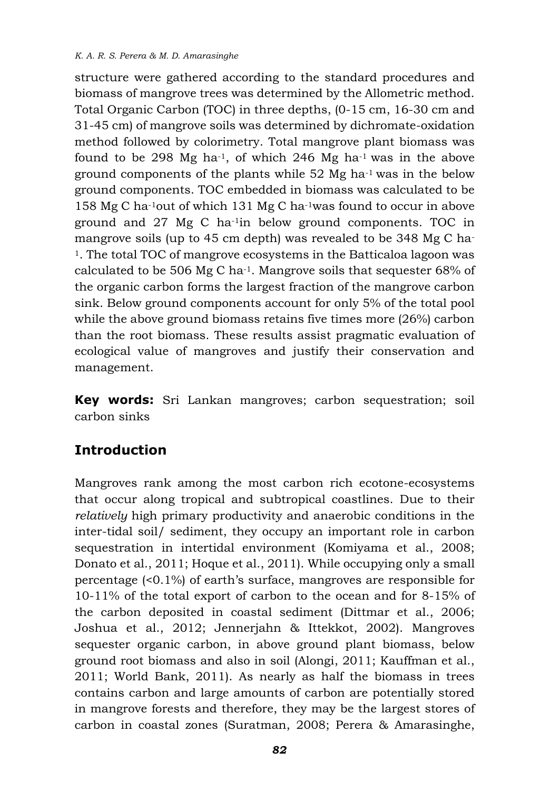structure were gathered according to the standard procedures and biomass of mangrove trees was determined by the Allometric method. Total Organic Carbon (TOC) in three depths, (0-15 cm, 16-30 cm and 31-45 cm) of mangrove soils was determined by dichromate-oxidation method followed by colorimetry. Total mangrove plant biomass was found to be 298 Mg ha<sup>-1</sup>, of which 246 Mg ha<sup>-1</sup> was in the above ground components of the plants while 52 Mg ha-1 was in the below ground components. TOC embedded in biomass was calculated to be 158 Mg C ha-1out of which 131 Mg C ha-1was found to occur in above ground and 27 Mg C ha-1in below ground components. TOC in mangrove soils (up to 45 cm depth) was revealed to be 348 Mg C ha-<sup>1</sup>. The total TOC of mangrove ecosystems in the Batticaloa lagoon was calculated to be 506 Mg C ha-1. Mangrove soils that sequester 68% of the organic carbon forms the largest fraction of the mangrove carbon sink. Below ground components account for only 5% of the total pool while the above ground biomass retains five times more (26%) carbon than the root biomass. These results assist pragmatic evaluation of ecological value of mangroves and justify their conservation and management.

**Key words:** Sri Lankan mangroves; carbon sequestration; soil carbon sinks

# **Introduction**

Mangroves rank among the most carbon rich ecotone-ecosystems that occur along tropical and subtropical coastlines. Due to their *relatively* high primary productivity and anaerobic conditions in the inter-tidal soil/ sediment, they occupy an important role in carbon sequestration in intertidal environment (Komiyama et al., 2008; Donato et al., 2011; Hoque et al., 2011). While occupying only a small percentage (<0.1%) of earth's surface, mangroves are responsible for 10-11% of the total export of carbon to the ocean and for 8-15% of the carbon deposited in coastal sediment (Dittmar et al., 2006; Joshua et al., 2012; Jennerjahn & Ittekkot, 2002). Mangroves sequester organic carbon, in above ground plant biomass, below ground root biomass and also in soil (Alongi, 2011; Kauffman et al., 2011; World Bank, 2011). As nearly as half the biomass in trees contains carbon and large amounts of carbon are potentially stored in mangrove forests and therefore, they may be the largest stores of carbon in coastal zones (Suratman, 2008; Perera & Amarasinghe,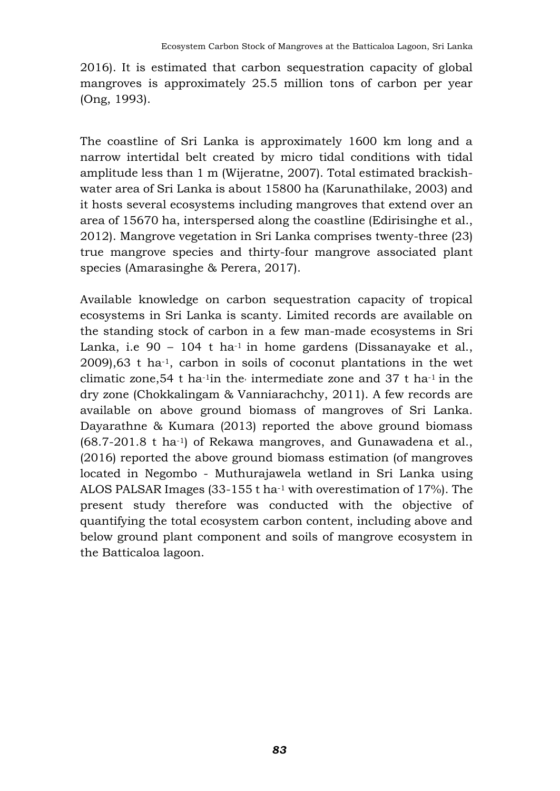2016). It is estimated that carbon sequestration capacity of global mangroves is approximately 25.5 million tons of carbon per year (Ong, 1993).

The coastline of Sri Lanka is approximately 1600 km long and a narrow intertidal belt created by micro tidal conditions with tidal amplitude less than 1 m (Wijeratne, 2007). Total estimated brackishwater area of Sri Lanka is about 15800 ha (Karunathilake, 2003) and it hosts several ecosystems including mangroves that extend over an area of 15670 ha, interspersed along the coastline (Edirisinghe et al., 2012). Mangrove vegetation in Sri Lanka comprises twenty-three (23) true mangrove species and thirty-four mangrove associated plant species (Amarasinghe & Perera, 2017).

Available knowledge on carbon sequestration capacity of tropical ecosystems in Sri Lanka is scanty. Limited records are available on the standing stock of carbon in a few man-made ecosystems in Sri Lanka, i.e  $90 - 104$  t ha<sup>-1</sup> in home gardens (Dissanayake et al., 2009),63 t ha-1, carbon in soils of coconut plantations in the wet climatic zone, 54 t ha<sup>-1</sup>in the intermediate zone and 37 t ha<sup>-1</sup> in the dry zone (Chokkalingam & Vanniarachchy, 2011). A few records are available on above ground biomass of mangroves of Sri Lanka. Dayarathne & Kumara (2013) reported the above ground biomass (68.7-201.8 t ha-1) of Rekawa mangroves, and Gunawadena et al., (2016) reported the above ground biomass estimation (of mangroves located in Negombo - Muthurajawela wetland in Sri Lanka using ALOS PALSAR Images (33-155 t ha-1 with overestimation of 17%). The present study therefore was conducted with the objective of quantifying the total ecosystem carbon content, including above and below ground plant component and soils of mangrove ecosystem in the Batticaloa lagoon.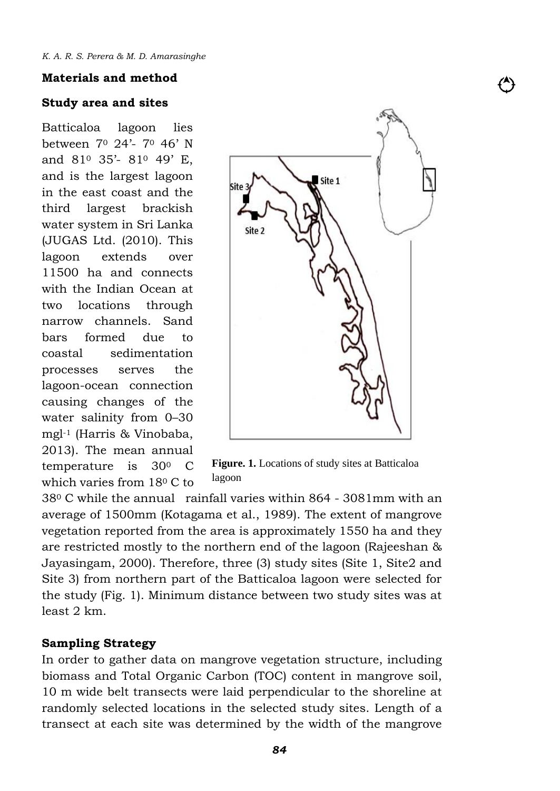#### **Materials and method**

#### **Study area and sites**

Batticaloa lagoon lies between 7<sup>0</sup> 24'- 7<sup>0</sup> 46' N and 81<sup>0</sup> 35'- 81<sup>0</sup> 49' E, and is the largest lagoon in the east coast and the third largest brackish water system in Sri Lanka (JUGAS Ltd. (2010). This lagoon extends over 11500 ha and connects with the Indian Ocean at two locations through narrow channels. Sand bars formed due to coastal sedimentation processes serves the lagoon-ocean connection causing changes of the water salinity from 0–30 mgl-1 (Harris & Vinobaba, 2013). The mean annual temperature is 30<sup>0</sup> C which varies from 18<sup>0</sup> C to



**Figure. 1.** Locations of study sites at Batticaloa lagoon

38<sup>0</sup> C while the annual rainfall varies within 864 - 3081mm with an average of 1500mm (Kotagama et al., 1989). The extent of mangrove vegetation reported from the area is approximately 1550 ha and they are restricted mostly to the northern end of the lagoon (Rajeeshan & Jayasingam, 2000). Therefore, three (3) study sites (Site 1, Site2 and Site 3) from northern part of the Batticaloa lagoon were selected for the study (Fig. 1). Minimum distance between two study sites was at least 2 km.

#### **Sampling Strategy**

In order to gather data on mangrove vegetation structure, including biomass and Total Organic Carbon (TOC) content in mangrove soil, 10 m wide belt transects were laid perpendicular to the shoreline at randomly selected locations in the selected study sites. Length of a transect at each site was determined by the width of the mangrove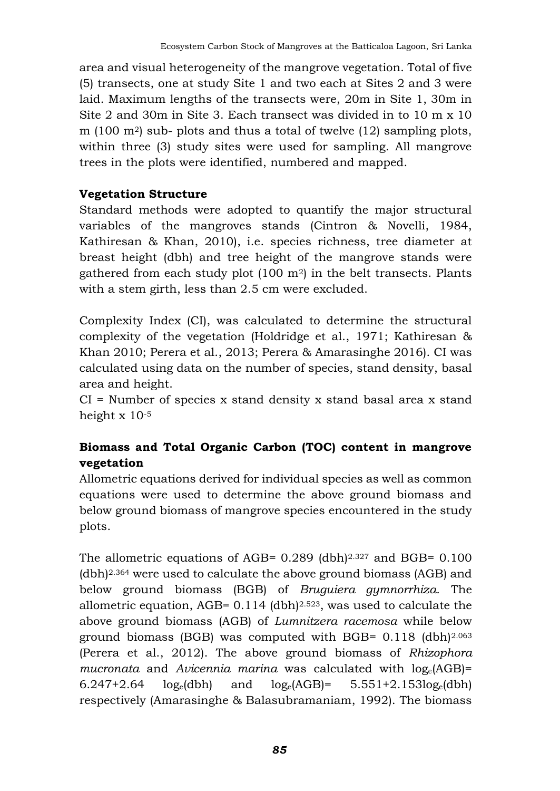area and visual heterogeneity of the mangrove vegetation. Total of five (5) transects, one at study Site 1 and two each at Sites 2 and 3 were laid. Maximum lengths of the transects were, 20m in Site 1, 30m in Site 2 and 30m in Site 3. Each transect was divided in to 10 m x 10 m (100  $\text{m}$ <sup>2</sup>) sub- plots and thus a total of twelve (12) sampling plots, within three (3) study sites were used for sampling. All mangrove trees in the plots were identified, numbered and mapped.

#### **Vegetation Structure**

Standard methods were adopted to quantify the major structural variables of the mangroves stands (Cintron & Novelli, 1984, Kathiresan & Khan, 2010), i.e. species richness, tree diameter at breast height (dbh) and tree height of the mangrove stands were gathered from each study plot  $(100 \text{ m}^2)$  in the belt transects. Plants with a stem girth, less than 2.5 cm were excluded.

Complexity Index (CI), was calculated to determine the structural complexity of the vegetation (Holdridge et al., 1971; Kathiresan & Khan 2010; Perera et al., 2013; Perera & Amarasinghe 2016). CI was calculated using data on the number of species, stand density, basal area and height.

 $CI =$  Number of species x stand density x stand basal area x stand height x 10-5

## **Biomass and Total Organic Carbon (TOC) content in mangrove vegetation**

Allometric equations derived for individual species as well as common equations were used to determine the above ground biomass and below ground biomass of mangrove species encountered in the study plots.

The allometric equations of AGB= 0.289 (dbh)2.327 and BGB= 0.100 (dbh)2.364 were used to calculate the above ground biomass (AGB) and below ground biomass (BGB) of *Bruguiera gymnorrhiza.* The allometric equation, AGB= 0.114 (dbh)2.523, was used to calculate the above ground biomass (AGB) of *Lumnitzera racemosa* while below ground biomass (BGB) was computed with BGB= 0.118 (dbh)2.063 (Perera et al., 2012). The above ground biomass of *Rhizophora mucronata* and *Avicennia marina* was calculated with loge(AGB)= 6.247+2.64  $log_e(dbh)$  and  $log_e(AGB) = 5.551+2.153log_e(dbh)$ respectively (Amarasinghe & Balasubramaniam, 1992). The biomass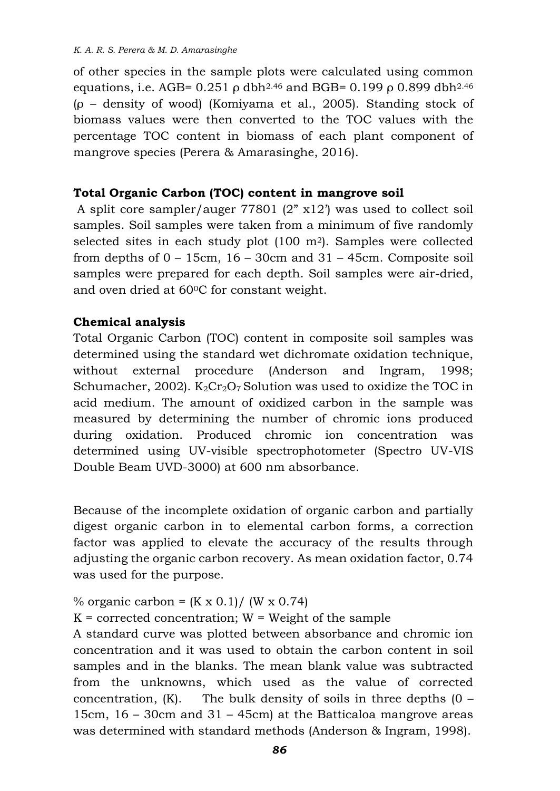of other species in the sample plots were calculated using common equations, i.e. AGB=  $0.251$  ρ dbh<sup>2.46</sup> and BGB=  $0.199$  ρ  $0.899$  dbh<sup>2.46</sup> (ρ – density of wood) (Komiyama et al., 2005). Standing stock of biomass values were then converted to the TOC values with the percentage TOC content in biomass of each plant component of mangrove species (Perera & Amarasinghe, 2016).

### **Total Organic Carbon (TOC) content in mangrove soil**

A split core sampler/auger 77801 (2" x12') was used to collect soil samples. Soil samples were taken from a minimum of five randomly selected sites in each study plot (100 m2). Samples were collected from depths of 0 – 15cm, 16 – 30cm and 31 – 45cm. Composite soil samples were prepared for each depth. Soil samples were air-dried, and oven dried at 600C for constant weight.

### **Chemical analysis**

Total Organic Carbon (TOC) content in composite soil samples was determined using the standard wet dichromate oxidation technique, without external procedure (Anderson and Ingram, 1998; Schumacher, 2002).  $K_2Cr_2O_7$  Solution was used to oxidize the TOC in acid medium. The amount of oxidized carbon in the sample was measured by determining the number of chromic ions produced during oxidation. Produced chromic ion concentration was determined using UV-visible spectrophotometer (Spectro UV-VIS Double Beam UVD-3000) at 600 nm absorbance.

Because of the incomplete oxidation of organic carbon and partially digest organic carbon in to elemental carbon forms, a correction factor was applied to elevate the accuracy of the results through adjusting the organic carbon recovery. As mean oxidation factor, 0.74 was used for the purpose.

% organic carbon =  $(K \times 0.1) / (W \times 0.74)$ 

 $K =$  corrected concentration;  $W =$  Weight of the sample

A standard curve was plotted between absorbance and chromic ion concentration and it was used to obtain the carbon content in soil samples and in the blanks. The mean blank value was subtracted from the unknowns, which used as the value of corrected concentration,  $(K)$ . The bulk density of soils in three depths  $(0 -$ 15cm, 16 – 30cm and 31 – 45cm) at the Batticaloa mangrove areas was determined with standard methods (Anderson & Ingram, 1998).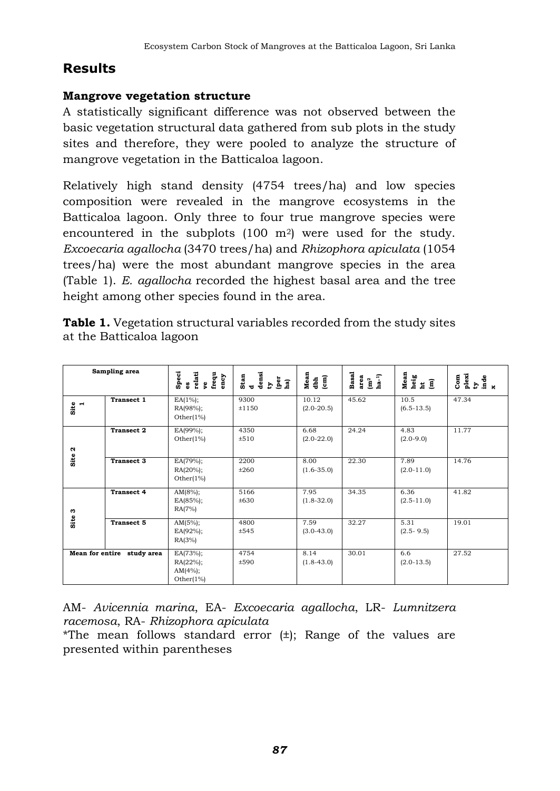# **Results**

### **Mangrove vegetation structure**

A statistically significant difference was not observed between the basic vegetation structural data gathered from sub plots in the study sites and therefore, they were pooled to analyze the structure of mangrove vegetation in the Batticaloa lagoon.

Relatively high stand density (4754 trees/ha) and low species composition were revealed in the mangrove ecosystems in the Batticaloa lagoon. Only three to four true mangrove species were encountered in the subplots (100 m<sup>2</sup>) were used for the study. *Excoecaria agallocha* (3470 trees/ha) and *Rhizophora apiculata* (1054 trees/ha) were the most abundant mangrove species in the area (Table 1). *E. agallocha* recorded the highest basal area and the tree height among other species found in the area.

| <b>Table 1.</b> Vegetation structural variables recorded from the study sites |
|-------------------------------------------------------------------------------|
| at the Batticaloa lagoon                                                      |

| Sampling area              |                   | Speci<br>relati<br>ve<br>frequ<br>ency<br>g.             | $\frac{densi}{dy}$<br>Stan<br>d<br>per<br>ha) | $Mean$<br>dbh<br>(cm)   | <b>Basal</b><br>area<br>$\begin{array}{lll} \text{area} \\ \text{Im}^2 \\ \text{ha}^{-1} \end{array}$ | Mean<br>heig<br>ht fi  | $\begin{array}{c}\n\text{Next} \\ \text{by} \\ \text{if } \\ \text{and} \\ \text{if } \\ \text{if } \\ \text{if } \\ \text{if } \\ \text{if } \\ \text{if } \\ \text{if } \\ \text{if } \\ \text{if } \\ \text{if } \\ \text{if } \\ \text{if } \\ \text{if } \\ \text{if } \\ \text{if } \\ \text{if } \\ \text{if } \\ \text{if } \\ \text{if } \\ \text{if } \\ \text{if } \\ \text{if } \\ \text{if } \\ \text{if } \\ \text{if } \\ \text{if } \\ \text{if } \\ \text{if } \\ \text{if } \\ \text{if } \\ \text{if } \\ \text$<br>$_{\rm Com}$ |
|----------------------------|-------------------|----------------------------------------------------------|-----------------------------------------------|-------------------------|-------------------------------------------------------------------------------------------------------|------------------------|-----------------------------------------------------------------------------------------------------------------------------------------------------------------------------------------------------------------------------------------------------------------------------------------------------------------------------------------------------------------------------------------------------------------------------------------------------------------------------------------------------------------------------------------------------|
| $\frac{1}{2}$              | Transect 1        | $EA(1\%)$ ;<br>RA(98%);<br>Other $(1%)$                  | 9300<br>±1150                                 | 10.12<br>$(2.0 - 20.5)$ | 45.62                                                                                                 | 10.5<br>$(6.5-13.5)$   | 47.34                                                                                                                                                                                                                                                                                                                                                                                                                                                                                                                                               |
| $\boldsymbol{\alpha}$      | <b>Transect 2</b> | $EA(99\%);$<br>Other $(1%)$                              | 4350<br>±510                                  | 6.68<br>$(2.0-22.0)$    | 24.24                                                                                                 | 4.83<br>$(2.0-9.0)$    | 11.77                                                                                                                                                                                                                                                                                                                                                                                                                                                                                                                                               |
| Site                       | <b>Transect 3</b> | EA(79%);<br>$RA(20\%)$ ;<br>Other $(1%)$                 | 2200<br>±260                                  | 8.00<br>$(1.6 - 35.0)$  | 22.30                                                                                                 | 7.89<br>$(2.0 - 11.0)$ | 14.76                                                                                                                                                                                                                                                                                                                                                                                                                                                                                                                                               |
| c                          | <b>Transect 4</b> | $AM(8\%)$ ;<br>$EA(85%)$ ;<br>RA(7%)                     | 5166<br>±630                                  | 7.95<br>$(1.8 - 32.0)$  | 34.35                                                                                                 | 6.36<br>$(2.5 - 11.0)$ | 41.82                                                                                                                                                                                                                                                                                                                                                                                                                                                                                                                                               |
| Site                       | <b>Transect 5</b> | $AM(5\%)$ ;<br>$EA(92\%)$ ;<br>RA(3%)                    | 4800<br>±545                                  | 7.59<br>$(3.0 - 43.0)$  | 32.27                                                                                                 | 5.31<br>$(2.5 - 9.5)$  | 19.01                                                                                                                                                                                                                                                                                                                                                                                                                                                                                                                                               |
| Mean for entire study area |                   | $EA(73%)$ ;<br>$RA(22%)$ ;<br>$AM(4%)$ ;<br>Other $(1%)$ | 4754<br>±590                                  | 8.14<br>$(1.8 - 43.0)$  | 30.01                                                                                                 | 6.6<br>$(2.0-13.5)$    | 27.52                                                                                                                                                                                                                                                                                                                                                                                                                                                                                                                                               |

AM- *Avicennia marina*, EA- *Excoecaria agallocha*, LR- *Lumnitzera racemosa*, RA- *Rhizophora apiculata*

\*The mean follows standard error (±); Range of the values are presented within parentheses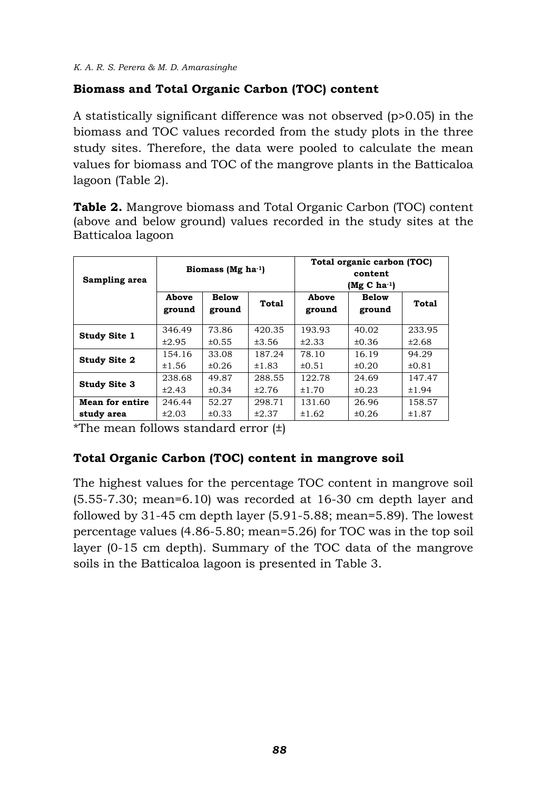### **Biomass and Total Organic Carbon (TOC) content**

A statistically significant difference was not observed (p>0.05) in the biomass and TOC values recorded from the study plots in the three study sites. Therefore, the data were pooled to calculate the mean values for biomass and TOC of the mangrove plants in the Batticaloa lagoon (Table 2).

**Table 2.** Mangrove biomass and Total Organic Carbon (TOC) content (above and below ground) values recorded in the study sites at the Batticaloa lagoon

| Sampling area       | Biomass ( $Mg$ ha <sup>-1</sup> ) |                        |              | Total organic carbon (TOC)<br>content<br>$(Mg C ha-1)$ |                        |            |
|---------------------|-----------------------------------|------------------------|--------------|--------------------------------------------------------|------------------------|------------|
|                     | Above<br>ground                   | <b>Below</b><br>ground | <b>Total</b> | Above<br>ground                                        | <b>Below</b><br>ground | Total      |
| <b>Study Site 1</b> | 346.49                            | 73.86                  | 420.35       | 193.93                                                 | 40.02                  | 233.95     |
|                     | ±2.95                             | ±0.55                  | ±3.56        | ±2.33                                                  | ±0.36                  | ±2.68      |
| <b>Study Site 2</b> | 154.16                            | 33.08                  | 187.24       | 78.10                                                  | 16.19                  | 94.29      |
|                     | ±1.56                             | ±0.26                  | ±1.83        | ±0.51                                                  | ±0.20                  | $\pm 0.81$ |
| <b>Study Site 3</b> | 238.68                            | 49.87                  | 288.55       | 122.78                                                 | 24.69                  | 147.47     |
|                     | ±2.43                             | ±0.34                  | ±2.76        | ±1.70                                                  | ±0.23                  | ±1.94      |
| Mean for entire     | 246.44                            | 52.27                  | 298.71       | 131.60                                                 | 26.96                  | 158.57     |
| study area          | ±2.03                             | $\pm 0.33$             | ±2.37        | ±1.62                                                  | ±0.26                  | ±1.87      |

\*The mean follows standard error  $(\pm)$ 

### **Total Organic Carbon (TOC) content in mangrove soil**

The highest values for the percentage TOC content in mangrove soil (5.55-7.30; mean=6.10) was recorded at 16-30 cm depth layer and followed by 31-45 cm depth layer (5.91-5.88; mean=5.89). The lowest percentage values (4.86-5.80; mean=5.26) for TOC was in the top soil layer (0-15 cm depth). Summary of the TOC data of the mangrove soils in the Batticaloa lagoon is presented in Table 3.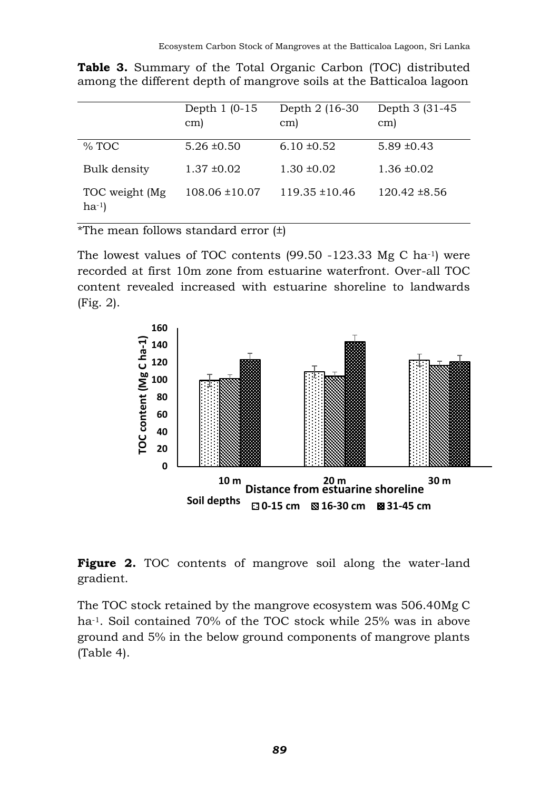|                              | Depth 1 (0-15)<br>cm) | Depth 2 (16-30)<br>cm) | Depth 3 (31-45)<br>cm) |
|------------------------------|-----------------------|------------------------|------------------------|
| $%$ TOC                      | $5.26 \pm 0.50$       | $6.10 \pm 0.52$        | $5.89 \pm 0.43$        |
| Bulk density                 | $1.37 \pm 0.02$       | $1.30 \pm 0.02$        | $1.36 \pm 0.02$        |
| TOC weight (Mg)<br>$ha^{-1}$ | $108.06 \pm 10.07$    | $119.35 \pm 10.46$     | $120.42 \pm 8.56$      |

**Table 3.** Summary of the Total Organic Carbon (TOC) distributed among the different depth of mangrove soils at the Batticaloa lagoon

\*The mean follows standard error  $(\pm)$ 

The lowest values of TOC contents (99.50 -123.33 Mg C ha-1) were recorded at first 10m zone from estuarine waterfront. Over-all TOC content revealed increased with estuarine shoreline to landwards (Fig. 2).



**Figure 2.** TOC contents of mangrove soil along the water-land gradient.

The TOC stock retained by the mangrove ecosystem was 506.40Mg C ha-1. Soil contained 70% of the TOC stock while 25% was in above ground and 5% in the below ground components of mangrove plants (Table 4).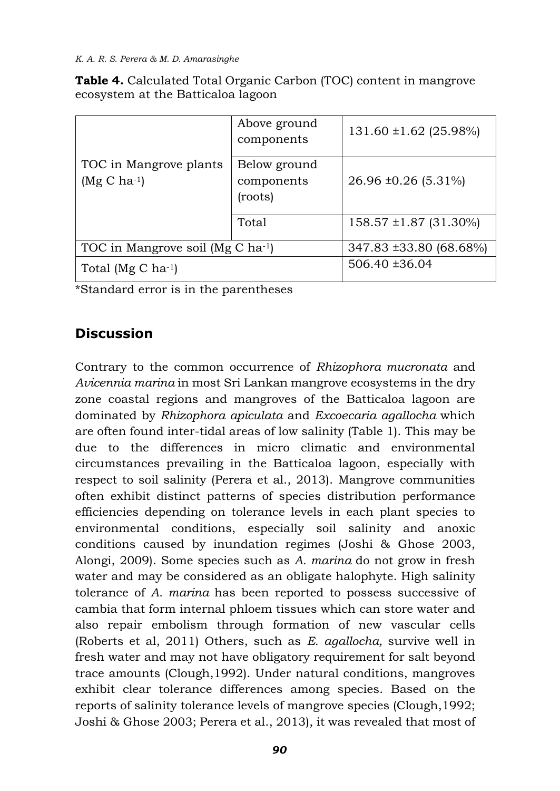|                                            | Above ground<br>components            | $131.60 \pm 1.62$ (25.98%) |
|--------------------------------------------|---------------------------------------|----------------------------|
| TOC in Mangrove plants<br>$(Mg C ha^{-1})$ | Below ground<br>components<br>(roots) | $26.96 \pm 0.26$ (5.31%)   |
|                                            | Total                                 | $158.57 \pm 1.87$ (31.30%) |
| TOC in Mangrove soil (Mg C ha-1)           | 347.83 ±33.80 (68.68%)                |                            |
| Total (Mg C $ha^{-1}$ )                    | $506.40 \pm 36.04$                    |                            |

**Table 4.** Calculated Total Organic Carbon (TOC) content in mangrove ecosystem at the Batticaloa lagoon

\*Standard error is in the parentheses

# **Discussion**

Contrary to the common occurrence of *Rhizophora mucronata* and *Avicennia marina* in most Sri Lankan mangrove ecosystems in the dry zone coastal regions and mangroves of the Batticaloa lagoon are dominated by *Rhizophora apiculata* and *Excoecaria agallocha* which are often found inter-tidal areas of low salinity (Table 1). This may be due to the differences in micro climatic and environmental circumstances prevailing in the Batticaloa lagoon, especially with respect to soil salinity (Perera et al., 2013). Mangrove communities often exhibit distinct patterns of species distribution performance efficiencies depending on tolerance levels in each plant species to environmental conditions, especially soil salinity and anoxic conditions caused by inundation regimes (Joshi & Ghose 2003, Alongi, 2009). Some species such as *A. marina* do not grow in fresh water and may be considered as an obligate halophyte. High salinity tolerance of *A. marina* has been reported to possess successive of cambia that form internal phloem tissues which can store water and also repair embolism through formation of new vascular cells (Roberts et al, 2011) Others, such as *E. agallocha,* survive well in fresh water and may not have obligatory requirement for salt beyond trace amounts (Clough,1992). Under natural conditions, mangroves exhibit clear tolerance differences among species. Based on the reports of salinity tolerance levels of mangrove species (Clough,1992; Joshi & Ghose 2003; Perera et al., 2013), it was revealed that most of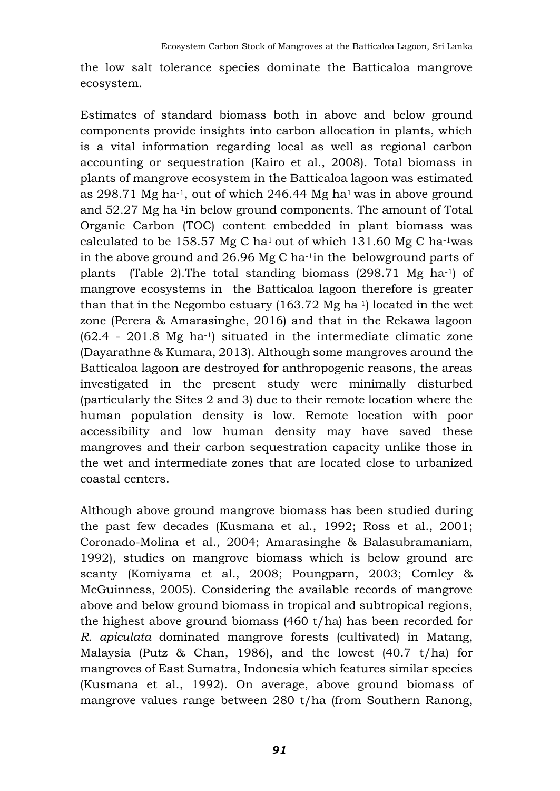the low salt tolerance species dominate the Batticaloa mangrove ecosystem.

Estimates of standard biomass both in above and below ground components provide insights into carbon allocation in plants, which is a vital information regarding local as well as regional carbon accounting or sequestration (Kairo et al., 2008). Total biomass in plants of mangrove ecosystem in the Batticaloa lagoon was estimated as 298.71 Mg ha-1, out of which 246.44 Mg ha1 was in above ground and 52.27 Mg ha-1in below ground components. The amount of Total Organic Carbon (TOC) content embedded in plant biomass was calculated to be 158.57 Mg C ha<sup>1</sup> out of which 131.60 Mg C ha<sup>-1</sup>was in the above ground and 26.96 Mg C ha-1in the belowground parts of plants (Table 2).The total standing biomass (298.71 Mg ha-1) of mangrove ecosystems in the Batticaloa lagoon therefore is greater than that in the Negombo estuary (163.72 Mg ha-1) located in the wet zone (Perera & Amarasinghe, 2016) and that in the Rekawa lagoon (62.4 - 201.8 Mg ha-1) situated in the intermediate climatic zone (Dayarathne & Kumara, 2013). Although some mangroves around the Batticaloa lagoon are destroyed for anthropogenic reasons, the areas investigated in the present study were minimally disturbed (particularly the Sites 2 and 3) due to their remote location where the human population density is low. Remote location with poor accessibility and low human density may have saved these mangroves and their carbon sequestration capacity unlike those in the wet and intermediate zones that are located close to urbanized coastal centers.

Although above ground mangrove biomass has been studied during the past few decades (Kusmana et al., 1992; Ross et al., 2001; Coronado-Molina et al., 2004; Amarasinghe & Balasubramaniam, 1992), studies on mangrove biomass which is below ground are scanty (Komiyama et al., 2008; Poungparn, 2003; Comley & McGuinness, 2005). Considering the available records of mangrove above and below ground biomass in tropical and subtropical regions, the highest above ground biomass (460 t/ha) has been recorded for *R. apiculata* dominated mangrove forests (cultivated) in Matang, Malaysia (Putz & Chan, 1986), and the lowest (40.7 t/ha) for mangroves of East Sumatra, Indonesia which features similar species (Kusmana et al., 1992). On average, above ground biomass of mangrove values range between 280 t/ha (from Southern Ranong,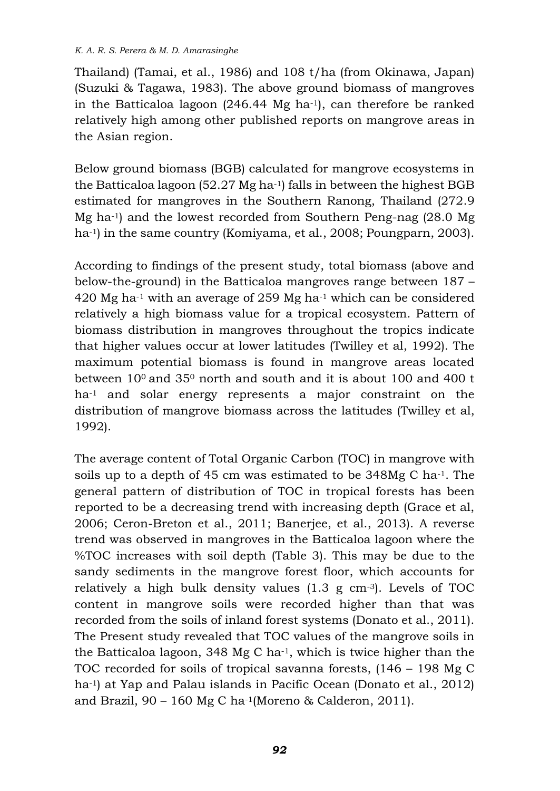#### *K. A. R. S. Perera & M. D. Amarasinghe*

Thailand) (Tamai, et al., 1986) and 108 t/ha (from Okinawa, Japan) (Suzuki & Tagawa, 1983). The above ground biomass of mangroves in the Batticaloa lagoon (246.44 Mg ha-1), can therefore be ranked relatively high among other published reports on mangrove areas in the Asian region.

Below ground biomass (BGB) calculated for mangrove ecosystems in the Batticaloa lagoon (52.27 Mg ha-1) falls in between the highest BGB estimated for mangroves in the Southern Ranong, Thailand (272.9 Mg ha-1) and the lowest recorded from Southern Peng-nag (28.0 Mg ha<sup>-1</sup>) in the same country (Komiyama, et al., 2008; Poungparn, 2003).

According to findings of the present study, total biomass (above and below-the-ground) in the Batticaloa mangroves range between 187 – 420 Mg ha-1 with an average of 259 Mg ha-1 which can be considered relatively a high biomass value for a tropical ecosystem. Pattern of biomass distribution in mangroves throughout the tropics indicate that higher values occur at lower latitudes (Twilley et al, 1992). The maximum potential biomass is found in mangrove areas located between 100 and 35<sup>0</sup> north and south and it is about 100 and 400 t ha-1 and solar energy represents a major constraint on the distribution of mangrove biomass across the latitudes (Twilley et al, 1992).

The average content of Total Organic Carbon (TOC) in mangrove with soils up to a depth of 45 cm was estimated to be 348Mg C ha-1. The general pattern of distribution of TOC in tropical forests has been reported to be a decreasing trend with increasing depth (Grace et al, 2006; Ceron-Breton et al., 2011; Banerjee, et al., 2013). A reverse trend was observed in mangroves in the Batticaloa lagoon where the %TOC increases with soil depth (Table 3). This may be due to the sandy sediments in the mangrove forest floor, which accounts for relatively a high bulk density values (1.3 g cm-3). Levels of TOC content in mangrove soils were recorded higher than that was recorded from the soils of inland forest systems (Donato et al., 2011). The Present study revealed that TOC values of the mangrove soils in the Batticaloa lagoon, 348 Mg C ha-1, which is twice higher than the TOC recorded for soils of tropical savanna forests, (146 – 198 Mg C ha-1) at Yap and Palau islands in Pacific Ocean (Donato et al., 2012) and Brazil, 90 – 160 Mg C ha-1(Moreno & Calderon, 2011).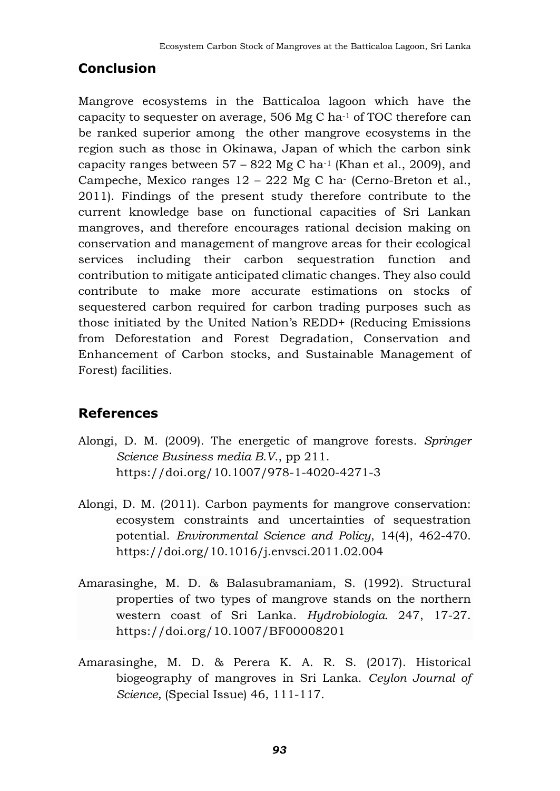## **Conclusion**

Mangrove ecosystems in the Batticaloa lagoon which have the capacity to sequester on average, 506 Mg C ha-1 of TOC therefore can be ranked superior among the other mangrove ecosystems in the region such as those in Okinawa, Japan of which the carbon sink capacity ranges between  $57 - 822$  Mg C ha<sup>-1</sup> (Khan et al., 2009), and Campeche, Mexico ranges 12 – 222 Mg C ha- (Cerno-Breton et al., 2011). Findings of the present study therefore contribute to the current knowledge base on functional capacities of Sri Lankan mangroves, and therefore encourages rational decision making on conservation and management of mangrove areas for their ecological services including their carbon sequestration function and contribution to mitigate anticipated climatic changes. They also could contribute to make more accurate estimations on stocks of sequestered carbon required for carbon trading purposes such as those initiated by the United Nation's REDD+ (Reducing Emissions from Deforestation and Forest Degradation, Conservation and Enhancement of Carbon stocks, and Sustainable Management of Forest) facilities.

## **References**

- Alongi, D. M. (2009). The energetic of mangrove forests. *Springer Science Business media B.V*., pp 211. https://doi.org/10.1007/978-1-4020-4271-3
- Alongi, D. M. (2011). Carbon payments for mangrove conservation: ecosystem constraints and uncertainties of sequestration potential. *Environmental Science and Policy*, 14(4), 462-470. <https://doi.org/10.1016/j.envsci.2011.02.004>
- Amarasinghe, M. D. & Balasubramaniam, S. (1992). Structural properties of two types of mangrove stands on the northern western coast of Sri Lanka. *Hydrobiologia.* 247, 17-27. https://doi.org/10.1007/BF00008201
- Amarasinghe, M. D. & Perera K. A. R. S. (2017). Historical biogeography of mangroves in Sri Lanka. *Ceylon Journal of Science,* (Special Issue) 46, 111-117*.*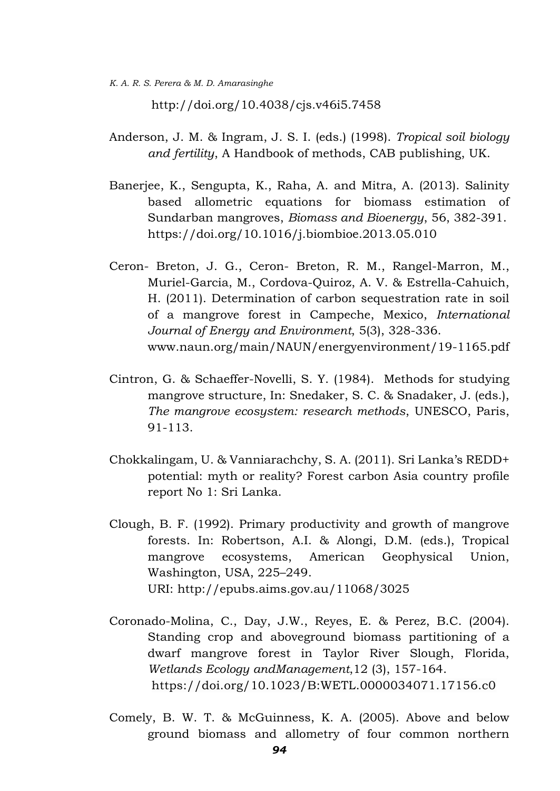*K. A. R. S. Perera & M. D. Amarasinghe*

<http://doi.org/10.4038/cjs.v46i5.7458>

- Anderson, J. M. & Ingram, J. S. I. (eds.) (1998). *Tropical soil biology and fertility*, A Handbook of methods, CAB publishing, UK.
- Banerjee, K., Sengupta, K., Raha, A. and Mitra, A. (2013). Salinity based allometric equations for biomass estimation of Sundarban mangroves, *Biomass and Bioenergy*, 56, 382-391. <https://doi.org/10.1016/j.biombioe.2013.05.010>
- Ceron- Breton, J. G., Ceron- Breton, R. M., Rangel-Marron, M., Muriel-Garcia, M., Cordova-Quiroz, A. V. & Estrella-Cahuich, H. (2011). Determination of carbon sequestration rate in soil of a mangrove forest in Campeche, Mexico, *International Journal of Energy and Environment*, 5(3), 328-336. [www.naun.org/main/NAUN/energyenvironment/19-1165.pdf](http://www.naun.org/main/NAUN/energyenvironment/19-1165.pdf)
- Cintron, G. & Schaeffer-Novelli, S. Y. (1984). Methods for studying mangrove structure, In: Snedaker, S. C. & Snadaker, J. (eds.), *The mangrove ecosystem: research methods*, UNESCO, Paris, 91-113.
- Chokkalingam, U. & Vanniarachchy, S. A. (2011). Sri Lanka's REDD+ potential: myth or reality? Forest carbon Asia country profile report No 1: Sri Lanka.
- Clough, B. F. (1992). Primary productivity and growth of mangrove forests. In: Robertson, A.I. & Alongi, D.M. (eds.), Tropical mangrove ecosystems, American Geophysical Union, Washington, USA, 225–249. URI: <http://epubs.aims.gov.au/11068/3025>
- Coronado-Molina, C., Day, J.W., Reyes, E. & Perez, B.C. (2004). Standing crop and aboveground biomass partitioning of a dwarf mangrove forest in Taylor River Slough, Florida, *Wetlands Ecology andManagement*,12 (3), 157-164. https://doi.org/10.1023/B:WETL.0000034071.17156.c0
- Comely, B. W. T. & McGuinness, K. A. (2005). Above and below ground biomass and allometry of four common northern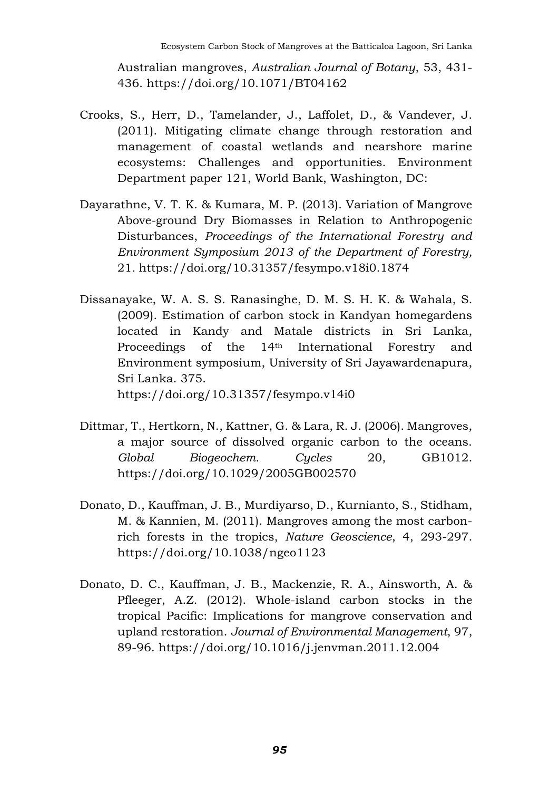Australian mangroves, *Australian Journal of Botany*, 53, 431- 436. https://doi.org/10.1071/BT04162

- Crooks, S., Herr, D., Tamelander, J., Laffolet, D., & Vandever, J. (2011). Mitigating climate change through restoration and management of coastal wetlands and nearshore marine ecosystems: Challenges and opportunities. Environment Department paper 121, World Bank, Washington, DC:
- Dayarathne, V. T. K. & Kumara, M. P. (2013). Variation of Mangrove Above-ground Dry Biomasses in Relation to Anthropogenic Disturbances, *Proceedings of the International Forestry and Environment Symposium 2013 of the Department of Forestry,* 21*.* https://doi.org/10.31357/fesympo.v18i0.1874
- Dissanayake, W. A. S. S. Ranasinghe, D. M. S. H. K. & Wahala, S. (2009). Estimation of carbon stock in Kandyan homegardens located in Kandy and Matale districts in Sri Lanka, Proceedings of the 14th International Forestry and Environment symposium, University of Sri Jayawardenapura, Sri Lanka. 375. <https://doi.org/10.31357/fesympo.v14i0>
- Dittmar, T., Hertkorn, N., Kattner, G. & Lara, R. J. (2006). Mangroves, a major source of dissolved organic carbon to the oceans. *Global Biogeochem. Cycles* 20, GB1012. <https://doi.org/10.1029/2005GB002570>
- Donato, D., Kauffman, J. B., Murdiyarso, D., Kurnianto, S., Stidham, M. & Kannien, M. (2011). Mangroves among the most carbonrich forests in the tropics, *Nature Geoscience*, 4, 293-297. <https://doi.org/10.1038/ngeo1123>
- Donato, D. C., Kauffman, J. B., Mackenzie, R. A., Ainsworth, A. & Pfleeger, A.Z. (2012). Whole-island carbon stocks in the tropical Pacific: Implications for mangrove conservation and upland restoration. *Journal of Environmental Management*, 97, 89-96. <https://doi.org/10.1016/j.jenvman.2011.12.004>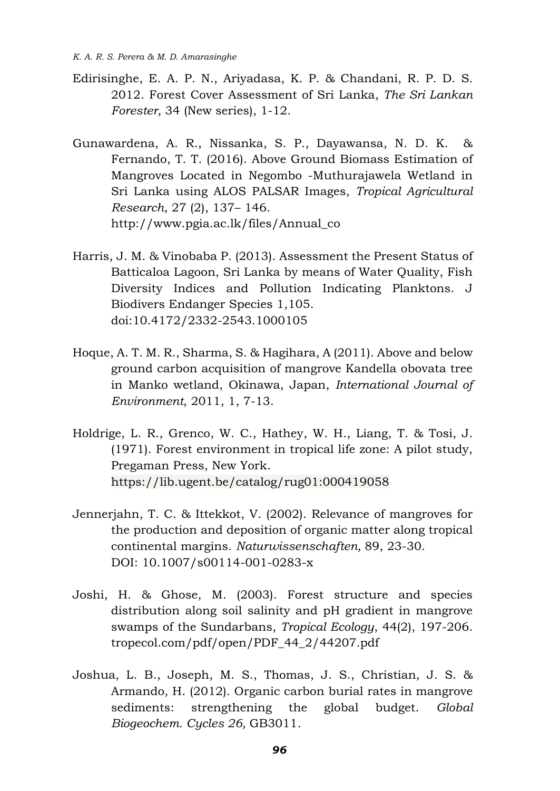- Edirisinghe, E. A. P. N., Ariyadasa, K. P. & Chandani, R. P. D. S. 2012. Forest Cover Assessment of Sri Lanka, *The Sri Lankan Forester,* 34 (New series), 1-12.
- Gunawardena, A. R., Nissanka, S. P., Dayawansa, N. D. K. & Fernando, T. T. (2016). Above Ground Biomass Estimation of Mangroves Located in Negombo -Muthurajawela Wetland in Sri Lanka using ALOS PALSAR Images, *Tropical Agricultural Research*, 27 (2), 137– 146. [http://www.pgia.ac.lk/files/Annual\\_co](http://www.pgia.ac.lk/files/Annual_co)
- Harris, J. M. & Vinobaba P. (2013). Assessment the Present Status of Batticaloa Lagoon, Sri Lanka by means of Water Quality, Fish Diversity Indices and Pollution Indicating Planktons. J Biodivers Endanger Species 1,105. doi:10.4172/2332-2543.1000105
- Hoque, A. T. M. R., Sharma, S. & Hagihara, A (2011). Above and below ground carbon acquisition of mangrove Kandella obovata tree in Manko wetland, Okinawa, Japan, *International Journal of Environment*, 2011, 1, 7-13.
- Holdrige, L. R., Grenco, W. C., Hathey, W. H., Liang, T. & Tosi, J. (1971). Forest environment in tropical life zone: A pilot study, Pregaman Press, New York. https://lib.ugent.be/catalog/rug01:000419058
- Jennerjahn, T. C. & Ittekkot, V. (2002). Relevance of mangroves for the production and deposition of organic matter along tropical continental margins. *Naturwissenschaften,* 89, 23-30. DOI: 10.1007/s00114-001-0283-x
- Joshi, H. & Ghose, M. (2003). Forest structure and species distribution along soil salinity and pH gradient in mangrove swamps of the Sundarbans, *Tropical Ecology*, 44(2), 197-206. tropecol.com/pdf/open/PDF\_44\_2/44207.pdf
- Joshua, L. B., Joseph, M. S., Thomas, J. S., Christian, J. S. & Armando, H. (2012). Organic carbon burial rates in mangrove sediments: strengthening the global budget. *Global Biogeochem. Cycles 26,* GB3011.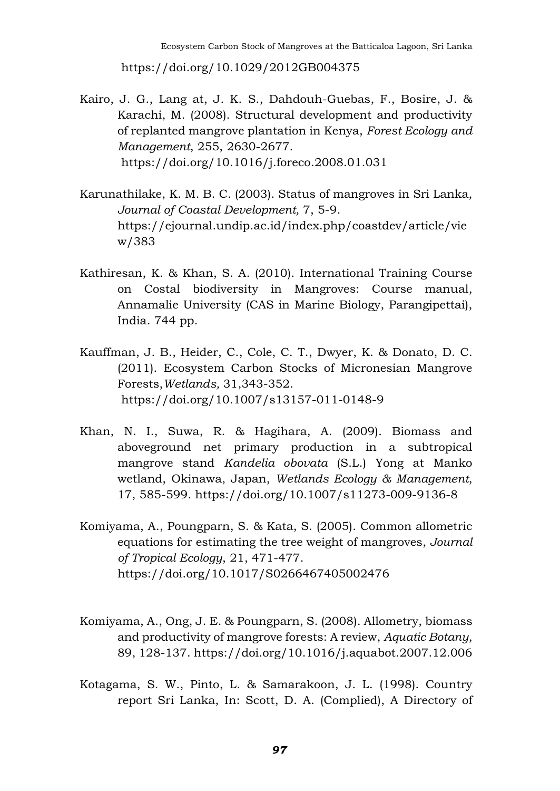https://doi.org/10.1029/2012GB004375

- Kairo, J. G., Lang at, J. K. S., Dahdouh-Guebas, F., Bosire, J. & Karachi, M. (2008). Structural development and productivity of replanted mangrove plantation in Kenya, *Forest Ecology and Management*, 255, 2630-2677. https://doi.org/10.1016/j.foreco.2008.01.031
- Karunathilake, K. M. B. C. (2003). Status of mangroves in Sri Lanka, *Journal of Coastal Development,* 7, 5-9. https://ejournal.undip.ac.id/index.php/coastdev/article/vie w/383
- Kathiresan, K. & Khan, S. A. (2010). International Training Course on Costal biodiversity in Mangroves: Course manual, Annamalie University (CAS in Marine Biology, Parangipettai), India. 744 pp.
- Kauffman, J. B., Heider, C., Cole, C. T., Dwyer, K. & Donato, D. C. (2011). Ecosystem Carbon Stocks of Micronesian Mangrove Forests,*Wetlands,* 31,343-352. https://doi.org/10.1007/s13157-011-0148-9
- Khan, N. I., Suwa, R. & Hagihara, A. (2009). Biomass and aboveground net primary production in a subtropical mangrove stand *Kandelia obovata* (S.L.) Yong at Manko wetland, Okinawa, Japan, *Wetlands Ecology & Management*, 17, 585-599. https://doi.org/10.1007/s11273-009-9136-8
- Komiyama, A., Poungparn, S. & Kata, S. (2005). Common allometric equations for estimating the tree weight of mangroves, *Journal of Tropical Ecology*, 21, 471-477. <https://doi.org/10.1017/S0266467405002476>
- Komiyama, A., Ong, J. E. & Poungparn, S. (2008). Allometry, biomass and productivity of mangrove forests: A review, *Aquatic Botany*, 89, 128-137. https://doi.org/10.1016/j.aquabot.2007.12.006
- Kotagama, S. W., Pinto, L. & Samarakoon, J. L. (1998). Country report Sri Lanka, In: Scott, D. A. (Complied), A Directory of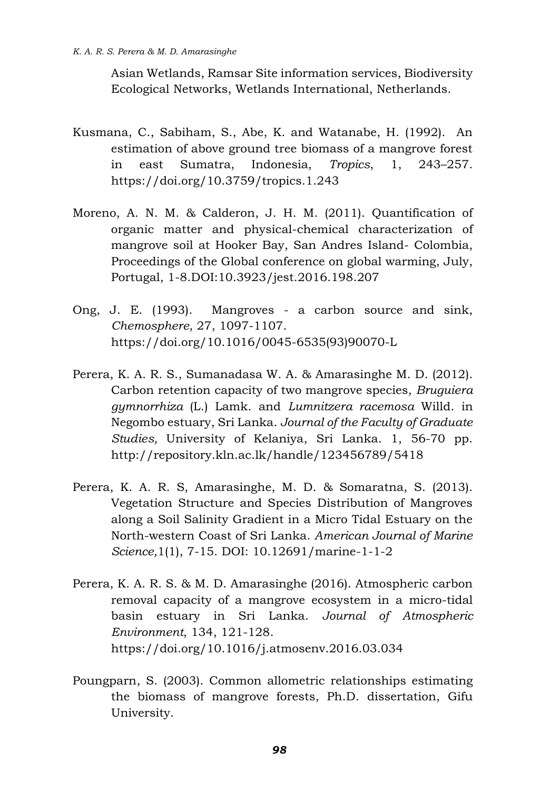Asian Wetlands, Ramsar Site information services, Biodiversity Ecological Networks, Wetlands International, Netherlands.

- Kusmana, C., Sabiham, S., Abe, K. and Watanabe, H. (1992). An estimation of above ground tree biomass of a mangrove forest in east Sumatra, Indonesia, *Tropics*, 1, 243–257. https://doi.org/10.3759/tropics.1.243
- Moreno, A. N. M. & Calderon, J. H. M. (2011). Quantification of organic matter and physical-chemical characterization of mangrove soil at Hooker Bay, San Andres Island- Colombia, Proceedings of the Global conference on global warming, July, Portugal, 1-8.DOI:10.3923/jest.2016.198.207
- Ong, J. E. (1993). Mangroves a carbon source and sink, *Chemosphere*, 27, 1097-1107. https://doi.org/10.1016/0045-6535(93)90070-L
- Perera, K. A. R. S., Sumanadasa W. A. & Amarasinghe M. D. (2012). Carbon retention capacity of two mangrove species, *Bruguiera gymnorrhiza* (L.) Lamk. and *Lumnitzera racemosa* Willd. in Negombo estuary, Sri Lanka. *Journal of the Faculty of Graduate Studies,* University of Kelaniya, Sri Lanka. 1, 56-70 pp. http://repository.kln.ac.lk/handle/123456789/5418
- Perera, K. A. R. S, Amarasinghe, M. D. & Somaratna, S. (2013). Vegetation Structure and Species Distribution of Mangroves along a Soil Salinity Gradient in a Micro Tidal Estuary on the North-western Coast of Sri Lanka. *American Journal of Marine Science,*1(1), 7-15. DOI: 10.12691/marine-1-1-2
- Perera, K. A. R. S. & M. D. Amarasinghe (2016). Atmospheric carbon removal capacity of a mangrove ecosystem in a micro-tidal basin estuary in Sri Lanka. *Journal of Atmospheric Environment*, 134, 121-128. https://doi.org/10.1016/j.atmosenv.2016.03.034
- Poungparn, S. (2003). Common allometric relationships estimating the biomass of mangrove forests, Ph.D. dissertation, Gifu University.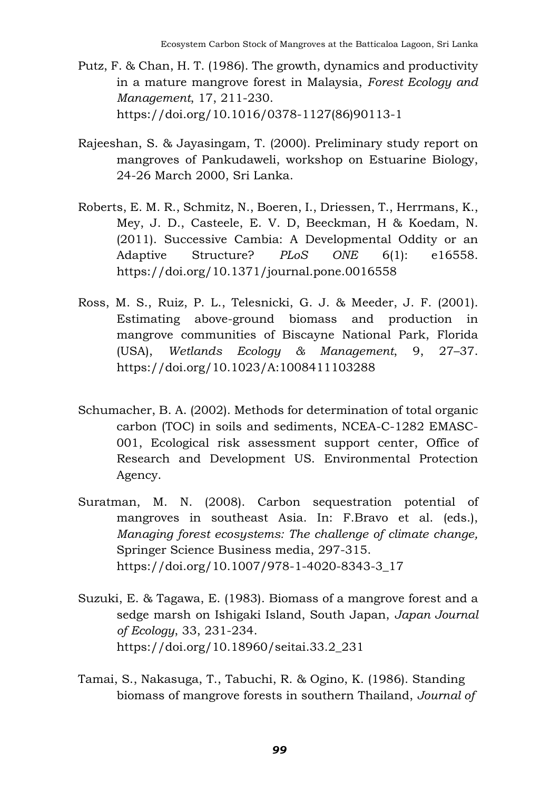- Putz, F. & Chan, H. T. (1986). The growth, dynamics and productivity in a mature mangrove forest in Malaysia, *Forest Ecology and Management*, 17, 211-230. https://doi.org/10.1016/0378-1127(86)90113-1
- Rajeeshan, S. & Jayasingam, T. (2000). Preliminary study report on mangroves of Pankudaweli, workshop on Estuarine Biology, 24-26 March 2000, Sri Lanka.
- Roberts, E. M. R., Schmitz, N., Boeren, I., Driessen, T., Herrmans, K., Mey, J. D., Casteele, E. V. D, Beeckman, H & Koedam, N. (2011). Successive Cambia: A Developmental Oddity or an Adaptive Structure? *PLoS ONE* 6(1): e16558. <https://doi.org/10.1371/journal.pone.0016558>
- Ross, M. S., Ruiz, P. L., Telesnicki, G. J. & Meeder, J. F. (2001). Estimating above-ground biomass and production in mangrove communities of Biscayne National Park, Florida (USA), *Wetlands Ecology & Management*, 9, 27–37. https://doi.org/10.1023/A:1008411103288
- Schumacher, B. A. (2002). Methods for determination of total organic carbon (TOC) in soils and sediments, NCEA-C-1282 EMASC-001, Ecological risk assessment support center, Office of Research and Development US. Environmental Protection Agency.
- Suratman, M. N. (2008). Carbon sequestration potential of mangroves in southeast Asia. In: F.Bravo et al. (eds.), *Managing forest ecosystems: The challenge of climate change,* Springer Science Business media, 297-315. https://doi.org/10.1007/978-1-4020-8343-3\_17
- Suzuki, E. & Tagawa, E. (1983). Biomass of a mangrove forest and a sedge marsh on Ishigaki Island, South Japan, *Japan Journal of Ecology*, 33, 231-234. https://doi.org/10.18960/seitai.33.2\_231
- Tamai, S., Nakasuga, T., Tabuchi, R. & Ogino, K. (1986). Standing biomass of mangrove forests in southern Thailand, *Journal of*